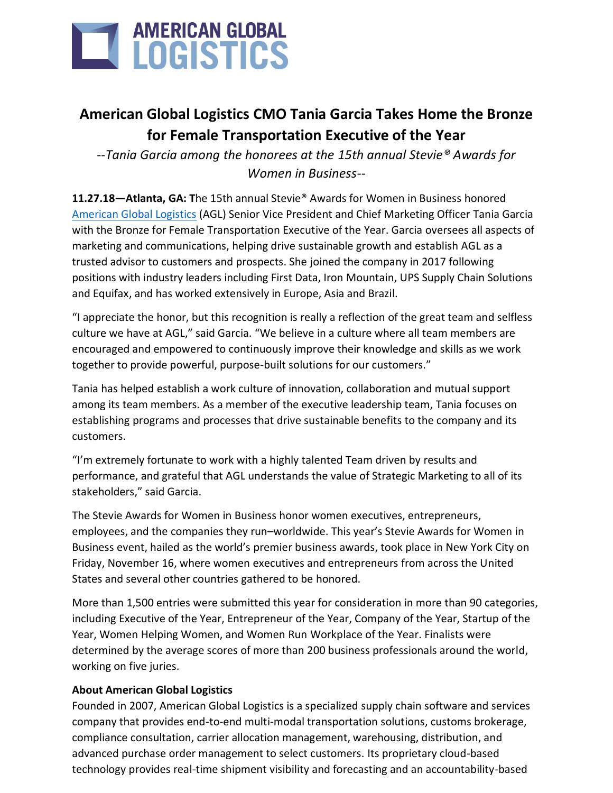

## **American Global Logistics CMO Tania Garcia Takes Home the Bronze for Female Transportation Executive of the Year**

--*Tania Garcia among the honorees at the 15th annual Stevie® Awards for Women in Business--*

**11.27.18—Atlanta, GA: T**he 15th annual Stevie® Awards for Women in Business honored [American Global Logistics](file:///C:/Users/tgarcia/AppData/Local/Microsoft/Windows/Temporary%20Internet%20Files/Content.Outlook/LRRS69LE/americangloballogistics.com) (AGL) Senior Vice President and Chief Marketing Officer Tania Garcia with the Bronze for Female Transportation Executive of the Year. Garcia oversees all aspects of marketing and communications, helping drive sustainable growth and establish AGL as a trusted advisor to customers and prospects. She joined the company in 2017 following positions with industry leaders including First Data, Iron Mountain, UPS Supply Chain Solutions and Equifax, and has worked extensively in Europe, Asia and Brazil.

"I appreciate the honor, but this recognition is really a reflection of the great team and selfless culture we have at AGL," said Garcia. "We believe in a culture where all team members are encouraged and empowered to continuously improve their knowledge and skills as we work together to provide powerful, purpose-built solutions for our customers."

Tania has helped establish a work culture of innovation, collaboration and mutual support among its team members. As a member of the executive leadership team, Tania focuses on establishing programs and processes that drive sustainable benefits to the company and its customers.

"I'm extremely fortunate to work with a highly talented Team driven by results and performance, and grateful that AGL understands the value of Strategic Marketing to all of its stakeholders," said Garcia.

The Stevie Awards for Women in Business honor women executives, entrepreneurs, employees, and the companies they run–worldwide. This year's Stevie Awards for Women in Business event, hailed as the world's premier business awards, took place in New York City on Friday, November 16, where women executives and entrepreneurs from across the United States and several other countries gathered to be honored.

More than 1,500 entries were submitted this year for consideration in more than 90 categories, including Executive of the Year, Entrepreneur of the Year, Company of the Year, Startup of the Year, Women Helping Women, and Women Run Workplace of the Year. Finalists were determined by the average scores of more than 200 business professionals around the world, working on five juries.

## **About American Global Logistics**

Founded in 2007, American Global Logistics is a specialized supply chain software and services company that provides end-to-end multi-modal transportation solutions, customs brokerage, compliance consultation, carrier allocation management, warehousing, distribution, and advanced purchase order management to select customers. Its proprietary cloud-based technology provides real-time shipment visibility and forecasting and an accountability-based